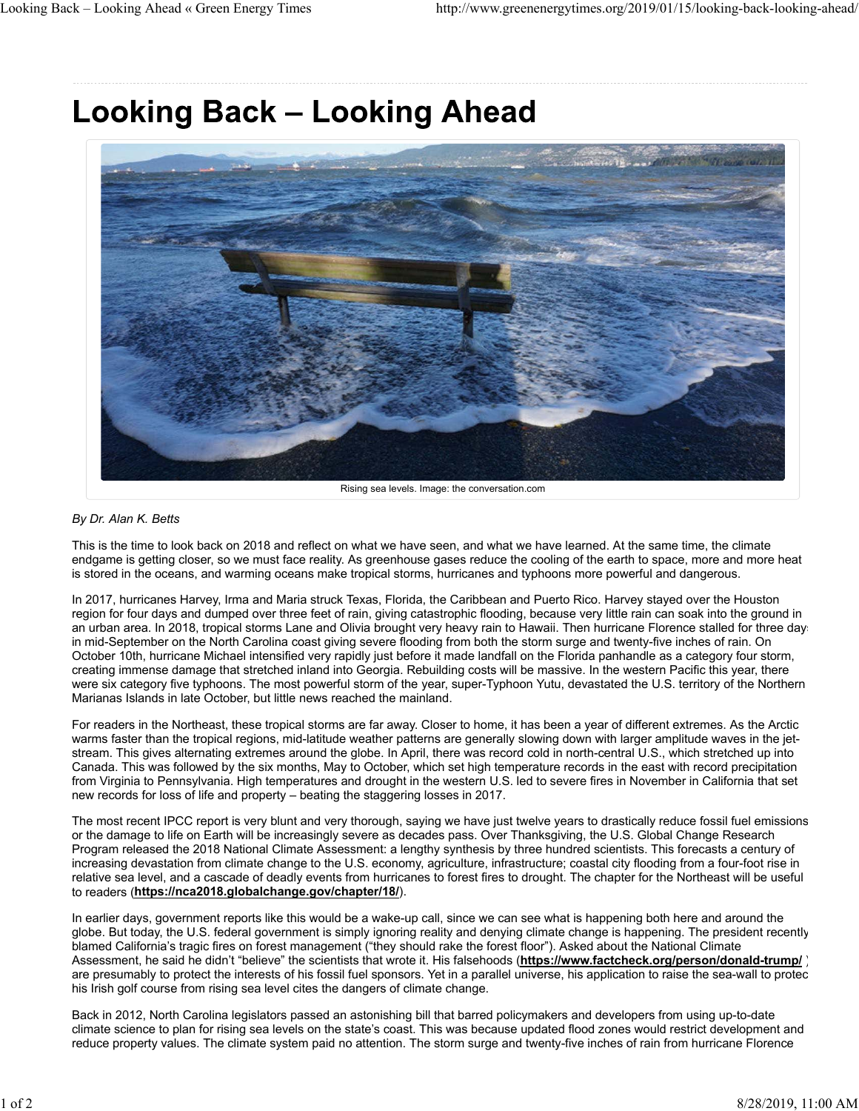## **Looking Back - Looking Ahead**



Rising sea levels. Image: the conversation.com

## *By Dr. Alan K. Betts*

This is the time to look back on 2018 and reflect on what we have seen, and what we have learned. At the same time, the climate endgame is getting closer, so we must face reality. As greenhouse gases reduce the cooling of the earth to space, more and more heat is stored in the oceans, and warming oceans make tropical storms, hurricanes and typhoons more powerful and dangerous.

In 2017, hurricanes Harvey, Irma and Maria struck Texas, Florida, the Caribbean and Puerto Rico. Harvey stayed over the Houston region for four days and dumped over three feet of rain, giving catastrophic flooding, because very little rain can soak into the ground in an urban area. In 2018, tropical storms Lane and Olivia brought very heavy rain to Hawaii. Then hurricane Florence stalled for three days in mid-September on the North Carolina coast giving severe flooding from both the storm surge and twenty-five inches of rain. On October 10th, hurricane Michael intensified very rapidly just before it made landfall on the Florida panhandle as a category four storm, creating immense damage that stretched inland into Georgia. Rebuilding costs will be massive. In the western Pacific this year, there were six category five typhoons. The most powerful storm of the year, super-Typhoon Yutu, devastated the U.S. territory of the Northern Marianas Islands in late October, but little news reached the mainland.

For readers in the Northeast, these tropical storms are far away. Closer to home, it has been a year of different extremes. As the Arctic warms faster than the tropical regions, mid-latitude weather patterns are generally slowing down with larger amplitude waves in the jetstream. This gives alternating extremes around the globe. In April, there was record cold in north-central U.S., which stretched up into Canada. This was followed by the six months, May to October, which set high temperature records in the east with record precipitation from Virginia to Pennsylvania. High temperatures and drought in the western U.S. led to severe fires in November in California that set new records for loss of life and property – beating the staggering losses in 2017.

The most recent IPCC report is very blunt and very thorough, saying we have just twelve years to drastically reduce fossil fuel emissions or the damage to life on Earth will be increasingly severe as decades pass. Over Thanksgiving, the U.S. Global Change Research Program released the 2018 National Climate Assessment: a lengthy synthesis by three hundred scientists. This forecasts a century of increasing devastation from climate change to the U.S. economy, agriculture, infrastructure; coastal city flooding from a four-foot rise in relative sea level, and a cascade of deadly events from hurricanes to forest fires to drought. The chapter for the Northeast will be useful to readers (**https://nca2018.globalchange.gov/chapter/18/**).

In earlier days, government reports like this would be a wake-up call, since we can see what is happening both here and around the globe. But today, the U.S. federal government is simply ignoring reality and denying climate change is happening. The president recently blamed California's tragic fires on forest management ("they should rake the forest floor"). Asked about the National Climate Assessment, he said he didn't "believe" the scientists that wrote it. His falsehoods (**https://www.factcheck.org/person/donald-trump/** ) are presumably to protect the interests of his fossil fuel sponsors. Yet in a parallel universe, his application to raise the sea-wall to protec his Irish golf course from rising sea level cites the dangers of climate change.

Back in 2012, North Carolina legislators passed an astonishing bill that barred policymakers and developers from using up-to-date climate science to plan for rising sea levels on the state's coast. This was because updated flood zones would restrict development and reduce property values. The climate system paid no attention. The storm surge and twenty-five inches of rain from hurricane Florence